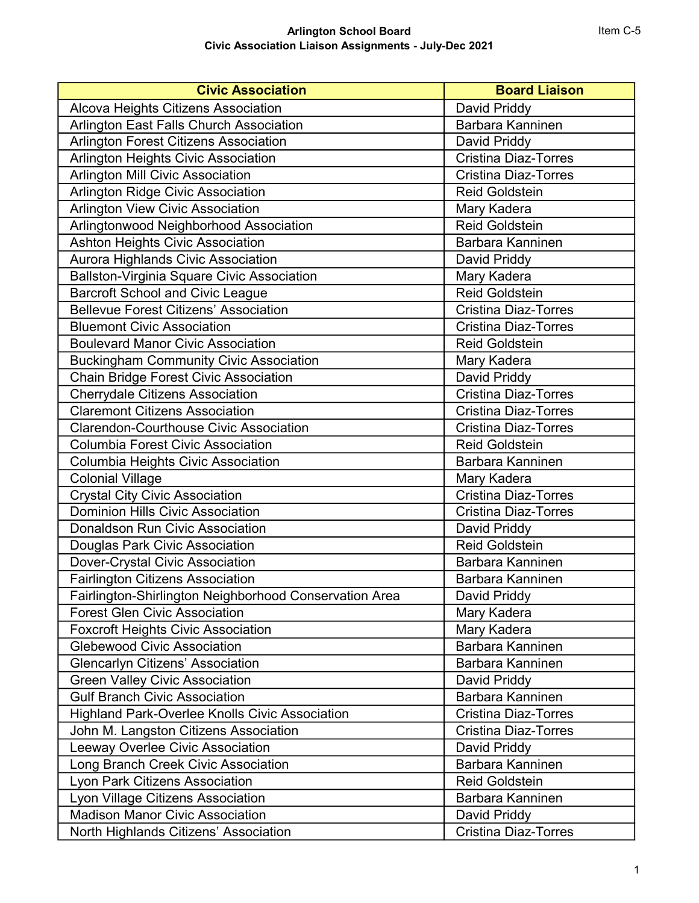## Arlington School Board Civic Association Liaison Assignments - July-Dec 2021

| <b>Civic Association</b>                               | <b>Board Liaison</b>        |
|--------------------------------------------------------|-----------------------------|
| Alcova Heights Citizens Association                    | David Priddy                |
| Arlington East Falls Church Association                | Barbara Kanninen            |
| <b>Arlington Forest Citizens Association</b>           | David Priddy                |
| Arlington Heights Civic Association                    | Cristina Diaz-Torres        |
| <b>Arlington Mill Civic Association</b>                | <b>Cristina Diaz-Torres</b> |
| Arlington Ridge Civic Association                      | <b>Reid Goldstein</b>       |
| <b>Arlington View Civic Association</b>                | Mary Kadera                 |
| Arlingtonwood Neighborhood Association                 | <b>Reid Goldstein</b>       |
| <b>Ashton Heights Civic Association</b>                | Barbara Kanninen            |
| Aurora Highlands Civic Association                     | David Priddy                |
| <b>Ballston-Virginia Square Civic Association</b>      | Mary Kadera                 |
| <b>Barcroft School and Civic League</b>                | <b>Reid Goldstein</b>       |
| <b>Bellevue Forest Citizens' Association</b>           | <b>Cristina Diaz-Torres</b> |
| <b>Bluemont Civic Association</b>                      | <b>Cristina Diaz-Torres</b> |
| <b>Boulevard Manor Civic Association</b>               | <b>Reid Goldstein</b>       |
| <b>Buckingham Community Civic Association</b>          | Mary Kadera                 |
| <b>Chain Bridge Forest Civic Association</b>           | David Priddy                |
| <b>Cherrydale Citizens Association</b>                 | <b>Cristina Diaz-Torres</b> |
| <b>Claremont Citizens Association</b>                  | <b>Cristina Diaz-Torres</b> |
| <b>Clarendon-Courthouse Civic Association</b>          | <b>Cristina Diaz-Torres</b> |
| <b>Columbia Forest Civic Association</b>               | <b>Reid Goldstein</b>       |
| Columbia Heights Civic Association                     | Barbara Kanninen            |
| <b>Colonial Village</b>                                | Mary Kadera                 |
| <b>Crystal City Civic Association</b>                  | <b>Cristina Diaz-Torres</b> |
| <b>Dominion Hills Civic Association</b>                | <b>Cristina Diaz-Torres</b> |
| <b>Donaldson Run Civic Association</b>                 | David Priddy                |
| Douglas Park Civic Association                         | <b>Reid Goldstein</b>       |
| Dover-Crystal Civic Association                        | Barbara Kanninen            |
| <b>Fairlington Citizens Association</b>                | Barbara Kanninen            |
| Fairlington-Shirlington Neighborhood Conservation Area | David Priddy                |
| <b>Forest Glen Civic Association</b>                   | Mary Kadera                 |
| <b>Foxcroft Heights Civic Association</b>              | Mary Kadera                 |
| <b>Glebewood Civic Association</b>                     | Barbara Kanninen            |
| <b>Glencarlyn Citizens' Association</b>                | Barbara Kanninen            |
| <b>Green Valley Civic Association</b>                  | David Priddy                |
| <b>Gulf Branch Civic Association</b>                   | Barbara Kanninen            |
| <b>Highland Park-Overlee Knolls Civic Association</b>  | <b>Cristina Diaz-Torres</b> |
| John M. Langston Citizens Association                  | <b>Cristina Diaz-Torres</b> |
| Leeway Overlee Civic Association                       | David Priddy                |
| Long Branch Creek Civic Association                    | Barbara Kanninen            |
| Lyon Park Citizens Association                         | Reid Goldstein              |
| Lyon Village Citizens Association                      | Barbara Kanninen            |
| <b>Madison Manor Civic Association</b>                 | David Priddy                |
| North Highlands Citizens' Association                  | <b>Cristina Diaz-Torres</b> |